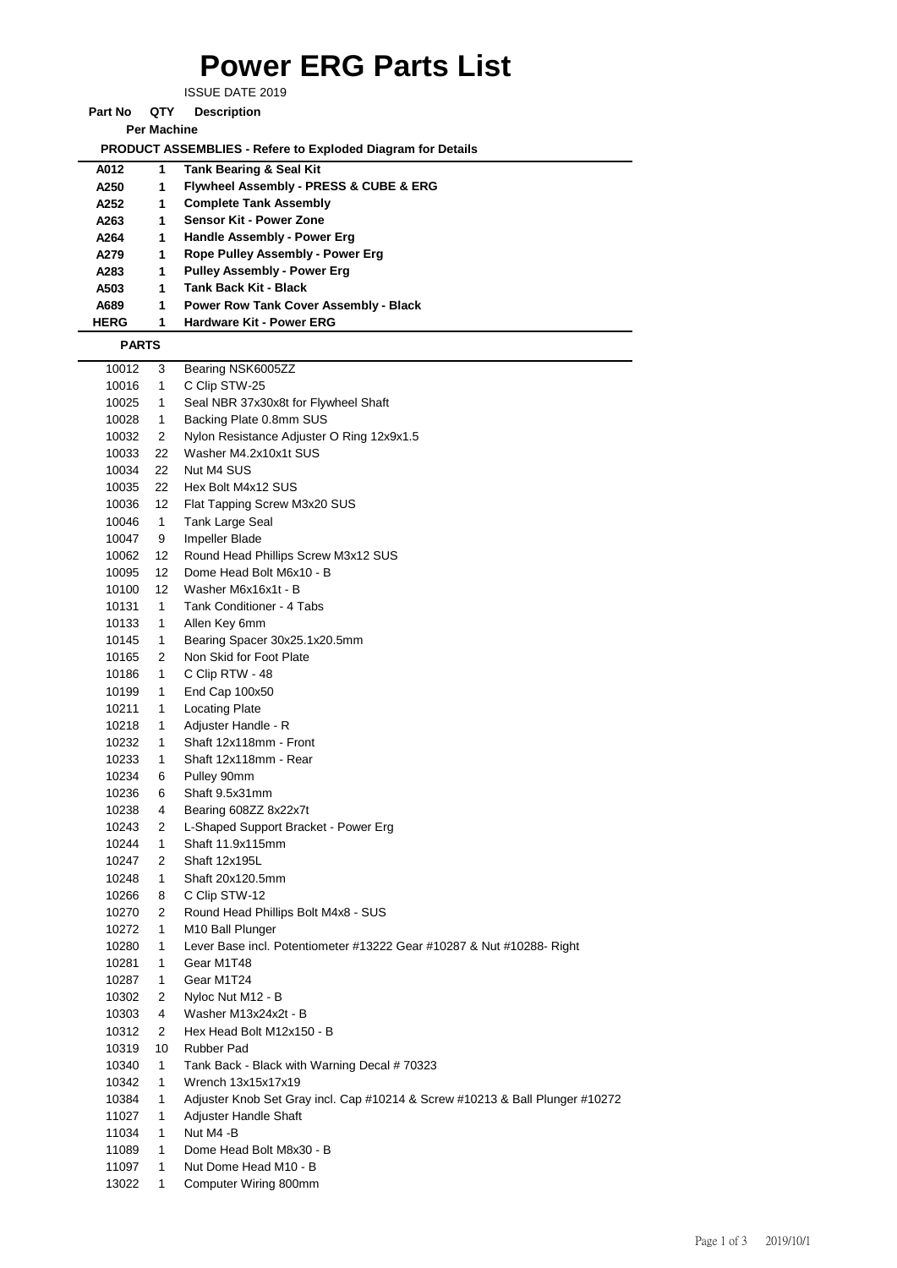## **Power ERG Parts List**

ISSUE DATE 2019

**Part No QTY Description** 

**Per Machine**

 **PRODUCT ASSEMBLIES - Refere to Exploded Diagram for Details** 

|              |                 | <b>I RODOOT AOOLINDEILO - Reicre to Exploded Diagram for Details</b>         |
|--------------|-----------------|------------------------------------------------------------------------------|
| A012         | 1               | <b>Tank Bearing &amp; Seal Kit</b>                                           |
| A250         | 1               | Flywheel Assembly - PRESS & CUBE & ERG                                       |
| A252         | 1               | <b>Complete Tank Assembly</b>                                                |
| A263         | 1               | Sensor Kit - Power Zone                                                      |
| A264         | 1               | Handle Assembly - Power Erg                                                  |
| A279         | 1               | Rope Pulley Assembly - Power Erg                                             |
| A283         | 1               | <b>Pulley Assembly - Power Erg</b>                                           |
| A503         | 1               | <b>Tank Back Kit - Black</b>                                                 |
| A689         | 1               | <b>Power Row Tank Cover Assembly - Black</b>                                 |
| <b>HERG</b>  | 1               | Hardware Kit - Power ERG                                                     |
| <b>PARTS</b> |                 |                                                                              |
| 10012        | 3               | Bearing NSK6005ZZ                                                            |
| 10016        | 1               | C Clip STW-25                                                                |
| 10025        | $\mathbf{1}$    | Seal NBR 37x30x8t for Flywheel Shaft                                         |
| 10028        | 1               | Backing Plate 0.8mm SUS                                                      |
| 10032        | 2               | Nylon Resistance Adjuster O Ring 12x9x1.5                                    |
| 10033        | 22              | Washer M4.2x10x1t SUS                                                        |
| 10034        | 22              | Nut M4 SUS                                                                   |
| 10035        | 22              | Hex Bolt M4x12 SUS                                                           |
| 10036        | 12              | Flat Tapping Screw M3x20 SUS                                                 |
| 10046        | 1               | Tank Large Seal                                                              |
| 10047        | 9               | Impeller Blade                                                               |
| 10062        | 12              | Round Head Phillips Screw M3x12 SUS                                          |
| 10095        | 12              | Dome Head Bolt M6x10 - B                                                     |
| 10100        | 12 <sup>°</sup> | Washer M6x16x1t - B                                                          |
| 10131        | 1               | Tank Conditioner - 4 Tabs                                                    |
| 10133        | 1               | Allen Key 6mm                                                                |
| 10145        | 1               | Bearing Spacer 30x25.1x20.5mm                                                |
| 10165        | 2               | Non Skid for Foot Plate                                                      |
| 10186        | 1               | C Clip RTW - 48                                                              |
| 10199        | 1               | End Cap 100x50                                                               |
| 10211        | 1               | <b>Locating Plate</b>                                                        |
| 10218        | 1.              | Adjuster Handle - R                                                          |
| 10232        | 1.              | Shaft 12x118mm - Front                                                       |
| 10233        | 1.              | Shaft 12x118mm - Rear                                                        |
| 10234        | 6               | Pulley 90mm                                                                  |
| 10236        | 6               | Shaft 9.5x31mm                                                               |
| 10238        | 4               | Bearing 608ZZ 8x22x7t                                                        |
| 10243        | $\overline{2}$  | L-Shaped Support Bracket - Power Erg                                         |
| 10244        | 1               | Shaft 11.9x115mm                                                             |
| 10247        | 2               | Shaft 12x195L                                                                |
| 10248        | 1.              | Shaft 20x120.5mm                                                             |
| 10266        | 8               | C Clip STW-12                                                                |
| 10270        | 2               | Round Head Phillips Bolt M4x8 - SUS                                          |
| 10272        | 1               | M10 Ball Plunger                                                             |
| 10280        | 1               | Lever Base incl. Potentiometer #13222 Gear #10287 & Nut #10288- Right        |
| 10281        | $\mathbf{1}$    | Gear M1T48                                                                   |
| 10287        | 1               | Gear M1T24                                                                   |
| 10302        | 2               | Nyloc Nut M12 - B                                                            |
| 10303        | 4               | Washer M13x24x2t - B                                                         |
| 10312        | 2               | Hex Head Bolt M12x150 - B                                                    |
| 10319        | 10              | Rubber Pad                                                                   |
| 10340        | 1.              | Tank Back - Black with Warning Decal # 70323                                 |
| 10342        | 1.              | Wrench 13x15x17x19                                                           |
| 10384        | 1.              | Adjuster Knob Set Gray incl. Cap #10214 & Screw #10213 & Ball Plunger #10272 |
| 11027        | $\mathbf{1}$    | Adjuster Handle Shaft                                                        |
| 11034        | 1               | Nut M4 -B                                                                    |
| 11089        | 1               | Dome Head Bolt M8x30 - B                                                     |
| 11097        | 1.              | Nut Dome Head M10 - B                                                        |
| 13022        | 1.              | Computer Wiring 800mm                                                        |
|              |                 |                                                                              |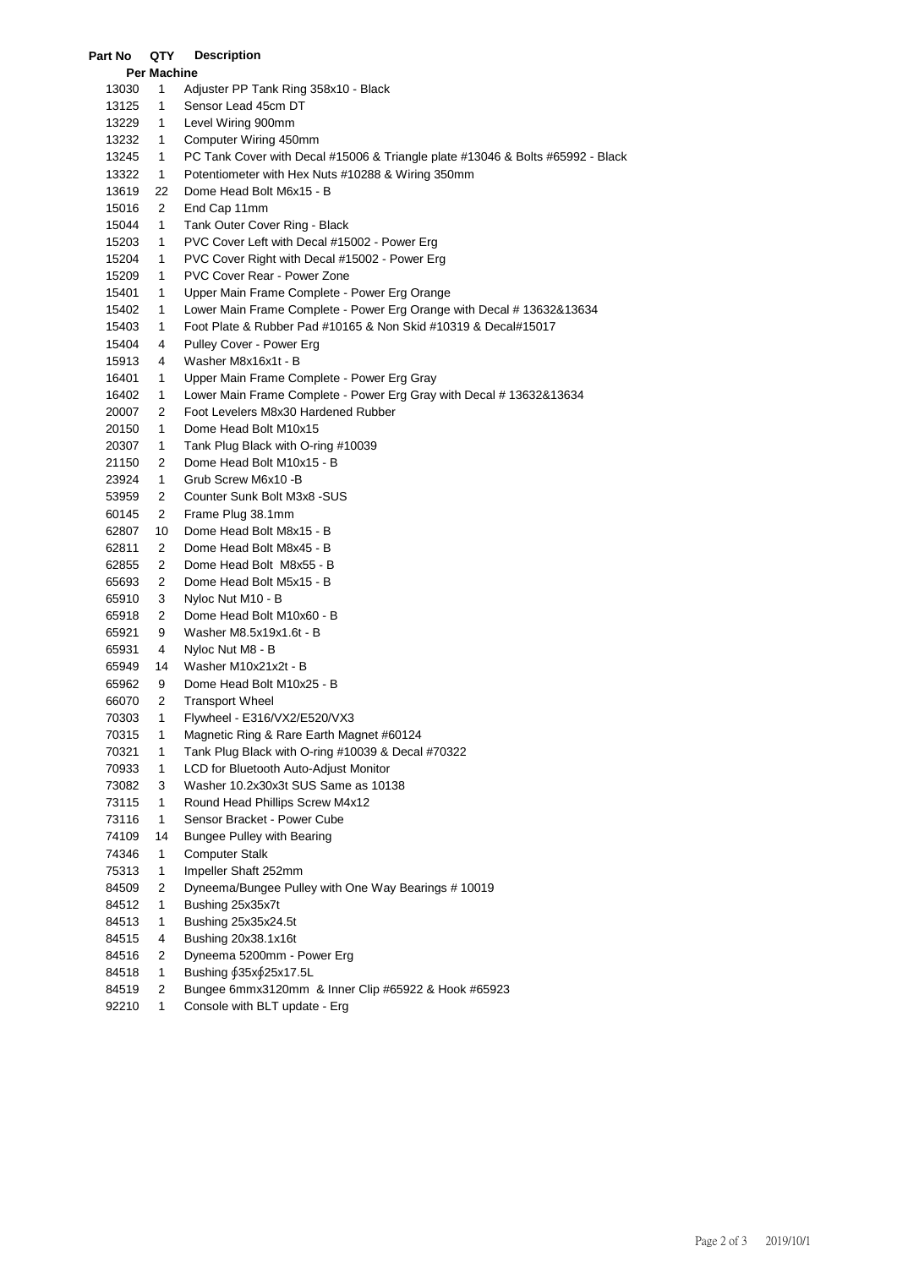| Per Machine |                |                                                                                |  |  |  |  |  |  |
|-------------|----------------|--------------------------------------------------------------------------------|--|--|--|--|--|--|
| 13030       | 1              | Adjuster PP Tank Ring 358x10 - Black                                           |  |  |  |  |  |  |
| 13125       | 1              | Sensor Lead 45cm DT                                                            |  |  |  |  |  |  |
| 13229       | 1              | Level Wiring 900mm                                                             |  |  |  |  |  |  |
| 13232       | 1              | Computer Wiring 450mm                                                          |  |  |  |  |  |  |
| 13245       | 1              | PC Tank Cover with Decal #15006 & Triangle plate #13046 & Bolts #65992 - Black |  |  |  |  |  |  |
| 13322       | 1              | Potentiometer with Hex Nuts #10288 & Wiring 350mm                              |  |  |  |  |  |  |
| 13619       | 22             | Dome Head Bolt M6x15 - B                                                       |  |  |  |  |  |  |
| 15016       | 2              | End Cap 11mm                                                                   |  |  |  |  |  |  |
| 15044       | 1              | Tank Outer Cover Ring - Black                                                  |  |  |  |  |  |  |
| 15203       | 1              | PVC Cover Left with Decal #15002 - Power Erg                                   |  |  |  |  |  |  |
| 15204       | 1              | PVC Cover Right with Decal #15002 - Power Erg                                  |  |  |  |  |  |  |
| 15209       | 1              | PVC Cover Rear - Power Zone                                                    |  |  |  |  |  |  |
| 15401       | 1              | Upper Main Frame Complete - Power Erg Orange                                   |  |  |  |  |  |  |
| 15402       | 1              | Lower Main Frame Complete - Power Erg Orange with Decal # 13632&13634          |  |  |  |  |  |  |
| 15403       | 1              | Foot Plate & Rubber Pad #10165 & Non Skid #10319 & Decal#15017                 |  |  |  |  |  |  |
| 15404       | 4              | Pulley Cover - Power Erg                                                       |  |  |  |  |  |  |
| 15913       | 4              | Washer M8x16x1t - B                                                            |  |  |  |  |  |  |
| 16401       | 1              | Upper Main Frame Complete - Power Erg Gray                                     |  |  |  |  |  |  |
| 16402       | 1              | Lower Main Frame Complete - Power Erg Gray with Decal #13632&13634             |  |  |  |  |  |  |
| 20007       | 2              | Foot Levelers M8x30 Hardened Rubber                                            |  |  |  |  |  |  |
| 20150       | 1              | Dome Head Bolt M10x15                                                          |  |  |  |  |  |  |
| 20307       | 1              | Tank Plug Black with O-ring #10039                                             |  |  |  |  |  |  |
| 21150       | 2              | Dome Head Bolt M10x15 - B                                                      |  |  |  |  |  |  |
| 23924       | $\mathbf{1}$   | Grub Screw M6x10 - B                                                           |  |  |  |  |  |  |
| 53959       | 2              | Counter Sunk Bolt M3x8 - SUS                                                   |  |  |  |  |  |  |
| 60145       | 2              | Frame Plug 38.1mm                                                              |  |  |  |  |  |  |
| 62807       | 10             | Dome Head Bolt M8x15 - B                                                       |  |  |  |  |  |  |
| 62811       | 2              | Dome Head Bolt M8x45 - B                                                       |  |  |  |  |  |  |
| 62855       | 2              | Dome Head Bolt M8x55 - B                                                       |  |  |  |  |  |  |
| 65693       | 2              | Dome Head Bolt M5x15 - B                                                       |  |  |  |  |  |  |
| 65910       | 3              | Nyloc Nut M10 - B                                                              |  |  |  |  |  |  |
| 65918       | 2              | Dome Head Bolt M10x60 - B                                                      |  |  |  |  |  |  |
| 65921       | 9              | Washer M8.5x19x1.6t - B                                                        |  |  |  |  |  |  |
| 65931       | 4              | Nyloc Nut M8 - B                                                               |  |  |  |  |  |  |
| 65949       | 14             | Washer M10x21x2t - B                                                           |  |  |  |  |  |  |
| 65962       | 9              | Dome Head Bolt M10x25 - B                                                      |  |  |  |  |  |  |
| 66070       | 2              | <b>Transport Wheel</b>                                                         |  |  |  |  |  |  |
| 70303       | 1              | Flywheel - E316/VX2/E520/VX3                                                   |  |  |  |  |  |  |
| 70315       | 1              | Magnetic Ring & Rare Earth Magnet #60124                                       |  |  |  |  |  |  |
| 70321       | 1              | Tank Plug Black with O-ring #10039 & Decal #70322                              |  |  |  |  |  |  |
| 70933       | 1              | LCD for Bluetooth Auto-Adjust Monitor                                          |  |  |  |  |  |  |
| 73082       | 3              | Washer 10.2x30x3t SUS Same as 10138                                            |  |  |  |  |  |  |
| 73115       | 1              | Round Head Phillips Screw M4x12                                                |  |  |  |  |  |  |
| 73116       | 1              | Sensor Bracket - Power Cube                                                    |  |  |  |  |  |  |
| 74109       | 14             | <b>Bungee Pulley with Bearing</b>                                              |  |  |  |  |  |  |
| 74346       | 1              | <b>Computer Stalk</b>                                                          |  |  |  |  |  |  |
| 75313       | 1              | Impeller Shaft 252mm                                                           |  |  |  |  |  |  |
| 84509       | 2              | Dyneema/Bungee Pulley with One Way Bearings #10019                             |  |  |  |  |  |  |
| 84512       | 1              | Bushing 25x35x7t                                                               |  |  |  |  |  |  |
| 84513       | 1              | Bushing 25x35x24.5t                                                            |  |  |  |  |  |  |
| 84515       | 4              | Bushing 20x38.1x16t                                                            |  |  |  |  |  |  |
| 84516       | 2              | Dyneema 5200mm - Power Erg                                                     |  |  |  |  |  |  |
| 84518       | 1              | Bushing 635x625x17.5L                                                          |  |  |  |  |  |  |
| 84519       | $\overline{2}$ | Bungee 6mmx3120mm & Inner Clip #65922 & Hook #65923                            |  |  |  |  |  |  |
|             |                |                                                                                |  |  |  |  |  |  |

1 Console with BLT update - Erg

**Part No QTY Description**